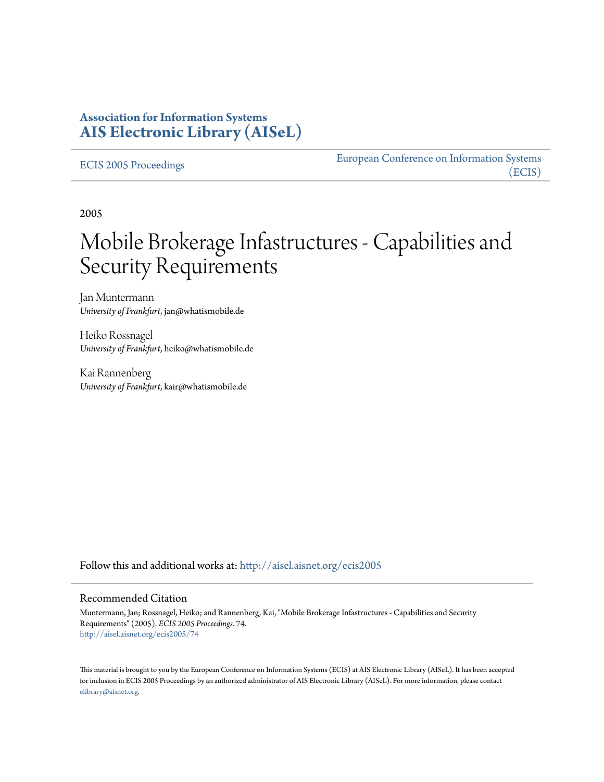## **Association for Information Systems [AIS Electronic Library \(AISeL\)](http://aisel.aisnet.org?utm_source=aisel.aisnet.org%2Fecis2005%2F74&utm_medium=PDF&utm_campaign=PDFCoverPages)**

#### [ECIS 2005 Proceedings](http://aisel.aisnet.org/ecis2005?utm_source=aisel.aisnet.org%2Fecis2005%2F74&utm_medium=PDF&utm_campaign=PDFCoverPages)

[European Conference on Information Systems](http://aisel.aisnet.org/ecis?utm_source=aisel.aisnet.org%2Fecis2005%2F74&utm_medium=PDF&utm_campaign=PDFCoverPages) [\(ECIS\)](http://aisel.aisnet.org/ecis?utm_source=aisel.aisnet.org%2Fecis2005%2F74&utm_medium=PDF&utm_campaign=PDFCoverPages)

2005

# Mobile Brokerage Infastructures - Capabilities and Security Requirements

Jan Muntermann *University of Frankfurt*, jan@whatismobile.de

Heiko Rossnagel *University of Frankfurt*, heiko@whatismobile.de

Kai Rannenberg *University of Frankfurt*, kair@whatismobile.de

Follow this and additional works at: [http://aisel.aisnet.org/ecis2005](http://aisel.aisnet.org/ecis2005?utm_source=aisel.aisnet.org%2Fecis2005%2F74&utm_medium=PDF&utm_campaign=PDFCoverPages)

#### Recommended Citation

Muntermann, Jan; Rossnagel, Heiko; and Rannenberg, Kai, "Mobile Brokerage Infastructures - Capabilities and Security Requirements" (2005). *ECIS 2005 Proceedings*. 74. [http://aisel.aisnet.org/ecis2005/74](http://aisel.aisnet.org/ecis2005/74?utm_source=aisel.aisnet.org%2Fecis2005%2F74&utm_medium=PDF&utm_campaign=PDFCoverPages)

This material is brought to you by the European Conference on Information Systems (ECIS) at AIS Electronic Library (AISeL). It has been accepted for inclusion in ECIS 2005 Proceedings by an authorized administrator of AIS Electronic Library (AISeL). For more information, please contact [elibrary@aisnet.org.](mailto:elibrary@aisnet.org%3E)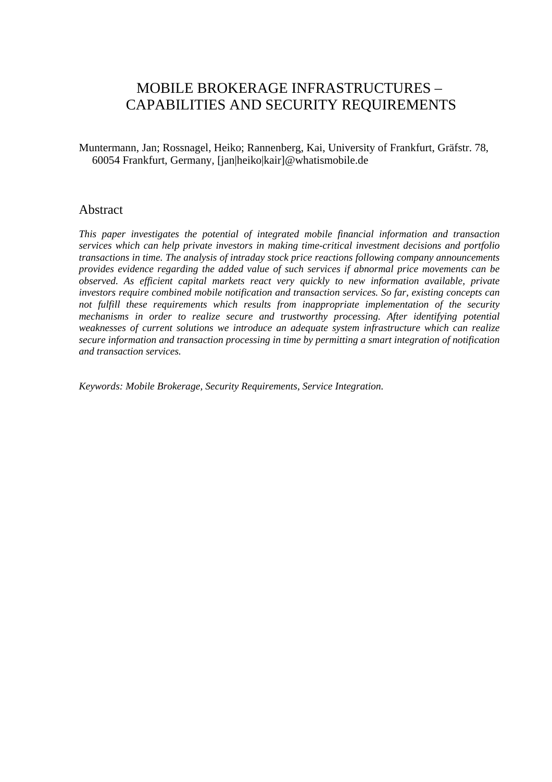# MOBILE BROKERAGE INFRASTRUCTURES – CAPABILITIES AND SECURITY REQUIREMENTS

Muntermann, Jan; Rossnagel, Heiko; Rannenberg, Kai, University of Frankfurt, Gräfstr. 78, 60054 Frankfurt, Germany, [jan|heiko|kair]@whatismobile.de

### Abstract

*This paper investigates the potential of integrated mobile financial information and transaction services which can help private investors in making time-critical investment decisions and portfolio transactions in time. The analysis of intraday stock price reactions following company announcements provides evidence regarding the added value of such services if abnormal price movements can be observed. As efficient capital markets react very quickly to new information available, private investors require combined mobile notification and transaction services. So far, existing concepts can not fulfill these requirements which results from inappropriate implementation of the security mechanisms in order to realize secure and trustworthy processing. After identifying potential weaknesses of current solutions we introduce an adequate system infrastructure which can realize secure information and transaction processing in time by permitting a smart integration of notification and transaction services.* 

*Keywords: Mobile Brokerage, Security Requirements, Service Integration.*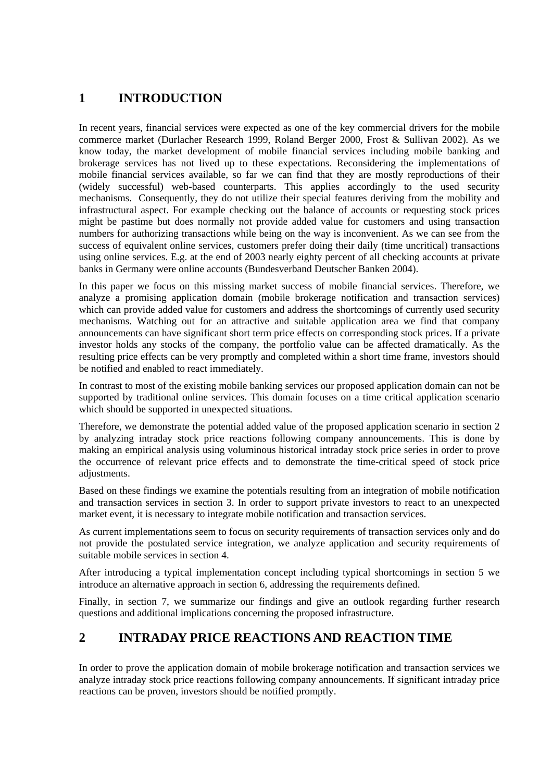# **1 INTRODUCTION**

In recent years, financial services were expected as one of the key commercial drivers for the mobile commerce market (Durlacher Research 1999, Roland Berger 2000, Frost & Sullivan 2002). As we know today, the market development of mobile financial services including mobile banking and brokerage services has not lived up to these expectations. Reconsidering the implementations of mobile financial services available, so far we can find that they are mostly reproductions of their (widely successful) web-based counterparts. This applies accordingly to the used security mechanisms. Consequently, they do not utilize their special features deriving from the mobility and infrastructural aspect. For example checking out the balance of accounts or requesting stock prices might be pastime but does normally not provide added value for customers and using transaction numbers for authorizing transactions while being on the way is inconvenient. As we can see from the success of equivalent online services, customers prefer doing their daily (time uncritical) transactions using online services. E.g. at the end of 2003 nearly eighty percent of all checking accounts at private banks in Germany were online accounts (Bundesverband Deutscher Banken 2004).

In this paper we focus on this missing market success of mobile financial services. Therefore, we analyze a promising application domain (mobile brokerage notification and transaction services) which can provide added value for customers and address the shortcomings of currently used security mechanisms. Watching out for an attractive and suitable application area we find that company announcements can have significant short term price effects on corresponding stock prices. If a private investor holds any stocks of the company, the portfolio value can be affected dramatically. As the resulting price effects can be very promptly and completed within a short time frame, investors should be notified and enabled to react immediately.

In contrast to most of the existing mobile banking services our proposed application domain can not be supported by traditional online services. This domain focuses on a time critical application scenario which should be supported in unexpected situations.

Therefore, we demonstrate the potential added value of the proposed application scenario in section 2 by analyzing intraday stock price reactions following company announcements. This is done by making an empirical analysis using voluminous historical intraday stock price series in order to prove the occurrence of relevant price effects and to demonstrate the time-critical speed of stock price adjustments.

Based on these findings we examine the potentials resulting from an integration of mobile notification and transaction services in section 3. In order to support private investors to react to an unexpected market event, it is necessary to integrate mobile notification and transaction services.

As current implementations seem to focus on security requirements of transaction services only and do not provide the postulated service integration, we analyze application and security requirements of suitable mobile services in section 4.

After introducing a typical implementation concept including typical shortcomings in section 5 we introduce an alternative approach in section 6, addressing the requirements defined.

Finally, in section 7, we summarize our findings and give an outlook regarding further research questions and additional implications concerning the proposed infrastructure.

## **2 INTRADAY PRICE REACTIONS AND REACTION TIME**

In order to prove the application domain of mobile brokerage notification and transaction services we analyze intraday stock price reactions following company announcements. If significant intraday price reactions can be proven, investors should be notified promptly.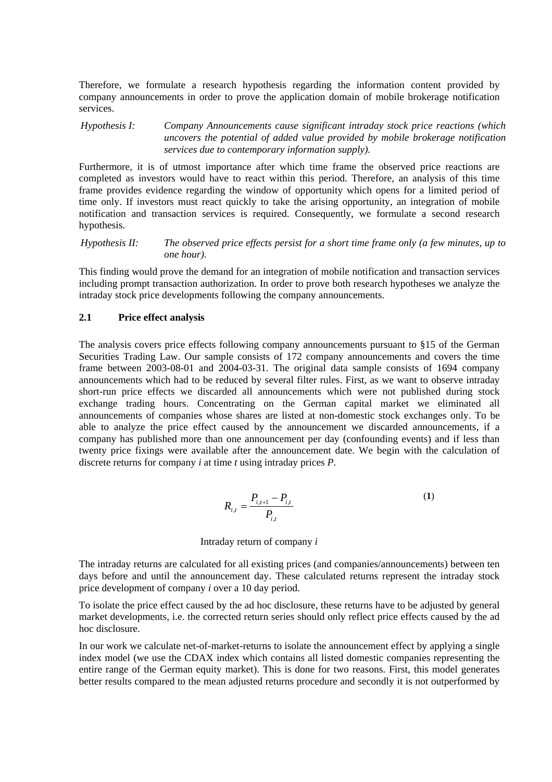Therefore, we formulate a research hypothesis regarding the information content provided by company announcements in order to prove the application domain of mobile brokerage notification services.

*Hypothesis I: Company Announcements cause significant intraday stock price reactions (which uncovers the potential of added value provided by mobile brokerage notification services due to contemporary information supply).*

Furthermore, it is of utmost importance after which time frame the observed price reactions are completed as investors would have to react within this period. Therefore, an analysis of this time frame provides evidence regarding the window of opportunity which opens for a limited period of time only. If investors must react quickly to take the arising opportunity, an integration of mobile notification and transaction services is required. Consequently, we formulate a second research hypothesis.

*Hypothesis II: The observed price effects persist for a short time frame only (a few minutes, up to one hour).* 

This finding would prove the demand for an integration of mobile notification and transaction services including prompt transaction authorization. In order to prove both research hypotheses we analyze the intraday stock price developments following the company announcements.

### **2.1 Price effect analysis**

The analysis covers price effects following company announcements pursuant to §15 of the German Securities Trading Law. Our sample consists of 172 company announcements and covers the time frame between 2003-08-01 and 2004-03-31. The original data sample consists of 1694 company announcements which had to be reduced by several filter rules. First, as we want to observe intraday short-run price effects we discarded all announcements which were not published during stock exchange trading hours. Concentrating on the German capital market we eliminated all announcements of companies whose shares are listed at non-domestic stock exchanges only. To be able to analyze the price effect caused by the announcement we discarded announcements, if a company has published more than one announcement per day (confounding events) and if less than twenty price fixings were available after the announcement date. We begin with the calculation of discrete returns for company *i* at time *t* using intraday prices *P*.

$$
R_{i,t} = \frac{P_{i,t+1} - P_{i,t}}{P_{i,t}}
$$
 (1)

Intraday return of company *i*

The intraday returns are calculated for all existing prices (and companies/announcements) between ten days before and until the announcement day. These calculated returns represent the intraday stock price development of company *i* over a 10 day period.

To isolate the price effect caused by the ad hoc disclosure, these returns have to be adjusted by general market developments, i.e. the corrected return series should only reflect price effects caused by the ad hoc disclosure.

In our work we calculate net-of-market-returns to isolate the announcement effect by applying a single index model (we use the CDAX index which contains all listed domestic companies representing the entire range of the German equity market). This is done for two reasons. First, this model generates better results compared to the mean adjusted returns procedure and secondly it is not outperformed by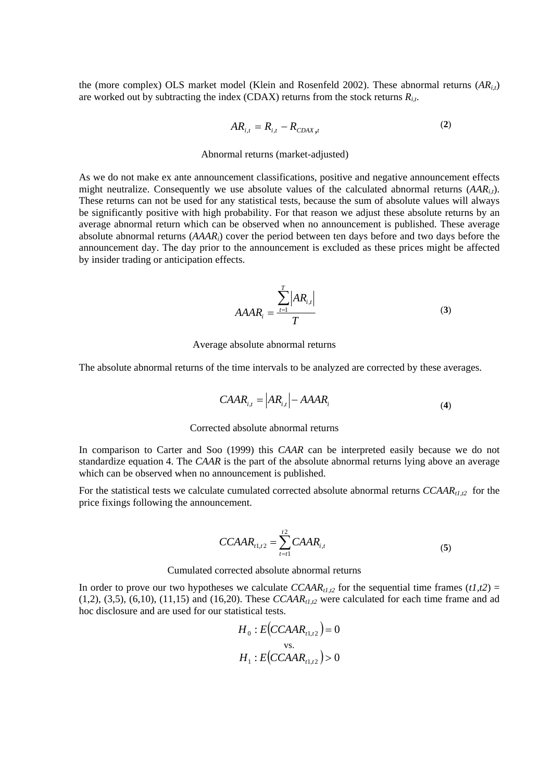the (more complex) OLS market model (Klein and Rosenfeld 2002). These abnormal returns  $(AR_{i,j})$ are worked out by subtracting the index (CDAX) returns from the stock returns *Ri,t*.

$$
AR_{i,t} = R_{i,t} - R_{CDAX,t}
$$
 (2)

#### Abnormal returns (market-adjusted)

As we do not make ex ante announcement classifications, positive and negative announcement effects might neutralize. Consequently we use absolute values of the calculated abnormal returns  $(AAR_i)$ . These returns can not be used for any statistical tests, because the sum of absolute values will always be significantly positive with high probability. For that reason we adjust these absolute returns by an average abnormal return which can be observed when no announcement is published. These average absolute abnormal returns (*AAARi*) cover the period between ten days before and two days before the announcement day. The day prior to the announcement is excluded as these prices might be affected by insider trading or anticipation effects.

$$
A A A R_i = \frac{\sum_{t=1}^{T} |A R_{i,t}|}{T}
$$
 (3)

Average absolute abnormal returns

The absolute abnormal returns of the time intervals to be analyzed are corrected by these averages.

$$
C A A R_{i,t} = |AR_{i,t}| - A A A R_i \tag{4}
$$

#### Corrected absolute abnormal returns

In comparison to Carter and Soo (1999) this *CAAR* can be interpreted easily because we do not standardize equation 4. The *CAAR* is the part of the absolute abnormal returns lying above an average which can be observed when no announcement is published.

For the statistical tests we calculate cumulated corrected absolute abnormal returns *CCAAR<sub>t1,t2</sub>* for the price fixings following the announcement.

$$
CCAAR_{t1,t2} = \sum_{t=t1}^{t2} CAAR_{i,t}
$$
 (5)

Cumulated corrected absolute abnormal returns

In order to prove our two hypotheses we calculate  $CCAAR<sub>t1,t2</sub>$  for the sequential time frames  $(t1,t2)$  =  $(1,2)$ ,  $(3,5)$ ,  $(6,10)$ ,  $(11,15)$  and  $(16,20)$ . These *CCAAR<sub>tL12</sub>* were calculated for each time frame and ad hoc disclosure and are used for our statistical tests.

$$
H_0: E(CCAAR_{t1,t2}) = 0
$$
  
vs.  

$$
H_1: E(CCAAR_{t1,t2}) > 0
$$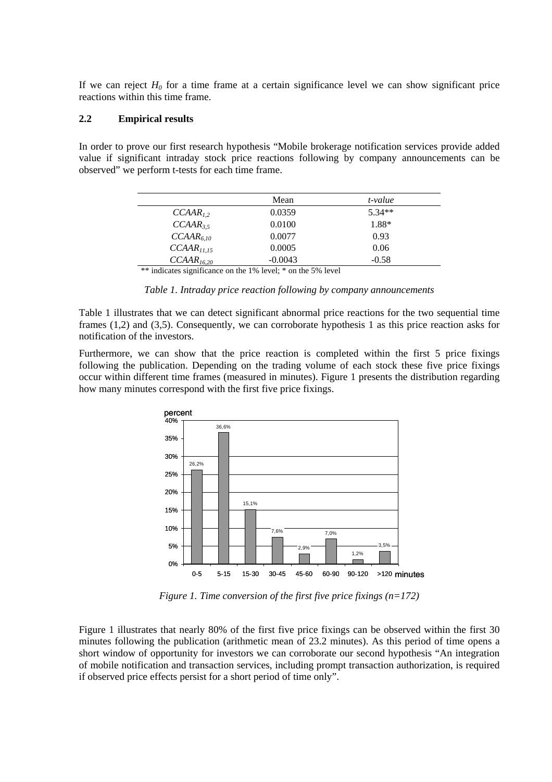If we can reject  $H_0$  for a time frame at a certain significance level we can show significant price reactions within this time frame.

### **2.2 Empirical results**

In order to prove our first research hypothesis "Mobile brokerage notification services provide added value if significant intraday stock price reactions following by company announcements can be observed" we perform t-tests for each time frame.

|                        | Mean      | t-value  |
|------------------------|-----------|----------|
| $CCAAR_{12}$           | 0.0359    | $5.34**$ |
| $CCAAR_{3.5}$          | 0.0100    | 1.88*    |
| $CCAAR_{6,10}$         | 0.0077    | 0.93     |
| CCAAR <sub>11.15</sub> | 0.0005    | 0.06     |
| CCAAR <sub>16.20</sub> | $-0.0043$ | $-0.58$  |

\*\* indicates significance on the 1% level; \* on the 5% level

*Table 1. Intraday price reaction following by company announcements* 

Table 1 illustrates that we can detect significant abnormal price reactions for the two sequential time frames (1,2) and (3,5). Consequently, we can corroborate hypothesis 1 as this price reaction asks for notification of the investors.

Furthermore, we can show that the price reaction is completed within the first 5 price fixings following the publication. Depending on the trading volume of each stock these five price fixings occur within different time frames (measured in minutes). Figure 1 presents the distribution regarding how many minutes correspond with the first five price fixings.



*Figure 1. Time conversion of the first five price fixings (n=172)* 

Figure 1 illustrates that nearly 80% of the first five price fixings can be observed within the first 30 minutes following the publication (arithmetic mean of 23.2 minutes). As this period of time opens a short window of opportunity for investors we can corroborate our second hypothesis "An integration of mobile notification and transaction services, including prompt transaction authorization, is required if observed price effects persist for a short period of time only".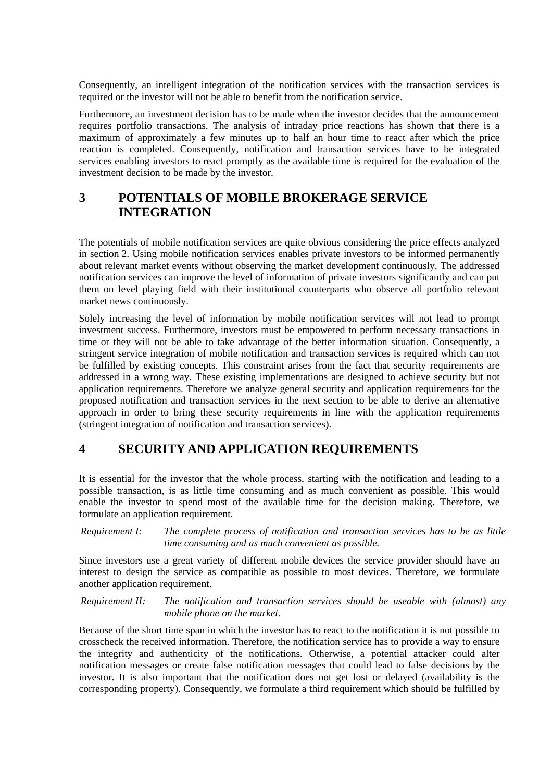Consequently, an intelligent integration of the notification services with the transaction services is required or the investor will not be able to benefit from the notification service.

Furthermore, an investment decision has to be made when the investor decides that the announcement requires portfolio transactions. The analysis of intraday price reactions has shown that there is a maximum of approximately a few minutes up to half an hour time to react after which the price reaction is completed. Consequently, notification and transaction services have to be integrated services enabling investors to react promptly as the available time is required for the evaluation of the investment decision to be made by the investor.

# **3 POTENTIALS OF MOBILE BROKERAGE SERVICE INTEGRATION**

The potentials of mobile notification services are quite obvious considering the price effects analyzed in section 2. Using mobile notification services enables private investors to be informed permanently about relevant market events without observing the market development continuously. The addressed notification services can improve the level of information of private investors significantly and can put them on level playing field with their institutional counterparts who observe all portfolio relevant market news continuously.

Solely increasing the level of information by mobile notification services will not lead to prompt investment success. Furthermore, investors must be empowered to perform necessary transactions in time or they will not be able to take advantage of the better information situation. Consequently, a stringent service integration of mobile notification and transaction services is required which can not be fulfilled by existing concepts. This constraint arises from the fact that security requirements are addressed in a wrong way. These existing implementations are designed to achieve security but not application requirements. Therefore we analyze general security and application requirements for the proposed notification and transaction services in the next section to be able to derive an alternative approach in order to bring these security requirements in line with the application requirements (stringent integration of notification and transaction services).

### **4 SECURITY AND APPLICATION REQUIREMENTS**

It is essential for the investor that the whole process, starting with the notification and leading to a possible transaction, is as little time consuming and as much convenient as possible. This would enable the investor to spend most of the available time for the decision making. Therefore, we formulate an application requirement.

*Requirement I: The complete process of notification and transaction services has to be as little time consuming and as much convenient as possible.*

Since investors use a great variety of different mobile devices the service provider should have an interest to design the service as compatible as possible to most devices. Therefore, we formulate another application requirement.

*Requirement II: The notification and transaction services should be useable with (almost) any mobile phone on the market.*

Because of the short time span in which the investor has to react to the notification it is not possible to crosscheck the received information. Therefore, the notification service has to provide a way to ensure the integrity and authenticity of the notifications. Otherwise, a potential attacker could alter notification messages or create false notification messages that could lead to false decisions by the investor. It is also important that the notification does not get lost or delayed (availability is the corresponding property). Consequently, we formulate a third requirement which should be fulfilled by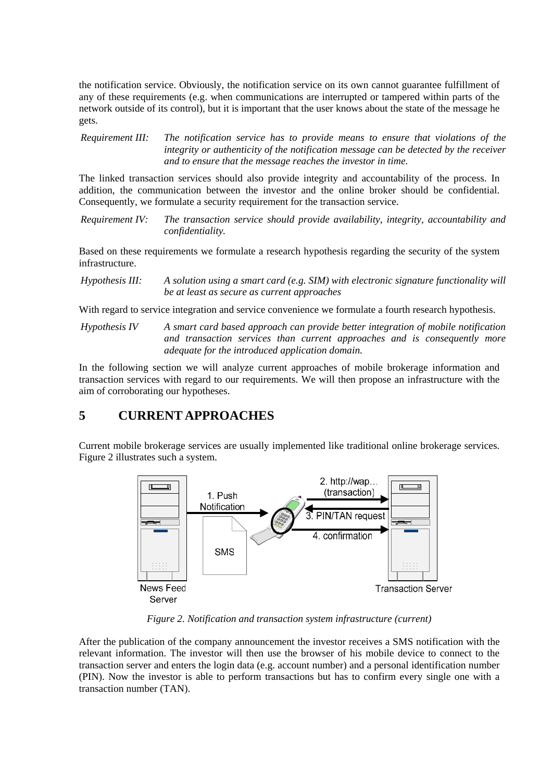the notification service. Obviously, the notification service on its own cannot guarantee fulfillment of any of these requirements (e.g. when communications are interrupted or tampered within parts of the network outside of its control), but it is important that the user knows about the state of the message he gets.

*Requirement III: The notification service has to provide means to ensure that violations of the integrity or authenticity of the notification message can be detected by the receiver and to ensure that the message reaches the investor in time.*

The linked transaction services should also provide integrity and accountability of the process. In addition, the communication between the investor and the online broker should be confidential. Consequently, we formulate a security requirement for the transaction service.

*Requirement IV: The transaction service should provide availability, integrity, accountability and confidentiality.* 

Based on these requirements we formulate a research hypothesis regarding the security of the system infrastructure.

*Hypothesis III: A solution using a smart card (e.g. SIM) with electronic signature functionality will be at least as secure as current approaches*

With regard to service integration and service convenience we formulate a fourth research hypothesis.

*Hypothesis IV A smart card based approach can provide better integration of mobile notification and transaction services than current approaches and is consequently more adequate for the introduced application domain.*

In the following section we will analyze current approaches of mobile brokerage information and transaction services with regard to our requirements. We will then propose an infrastructure with the aim of corroborating our hypotheses.

## **5 CURRENT APPROACHES**

Current mobile brokerage services are usually implemented like traditional online brokerage services. Figure 2 illustrates such a system.



*Figure 2. Notification and transaction system infrastructure (current)* 

After the publication of the company announcement the investor receives a SMS notification with the relevant information. The investor will then use the browser of his mobile device to connect to the transaction server and enters the login data (e.g. account number) and a personal identification number (PIN). Now the investor is able to perform transactions but has to confirm every single one with a transaction number (TAN).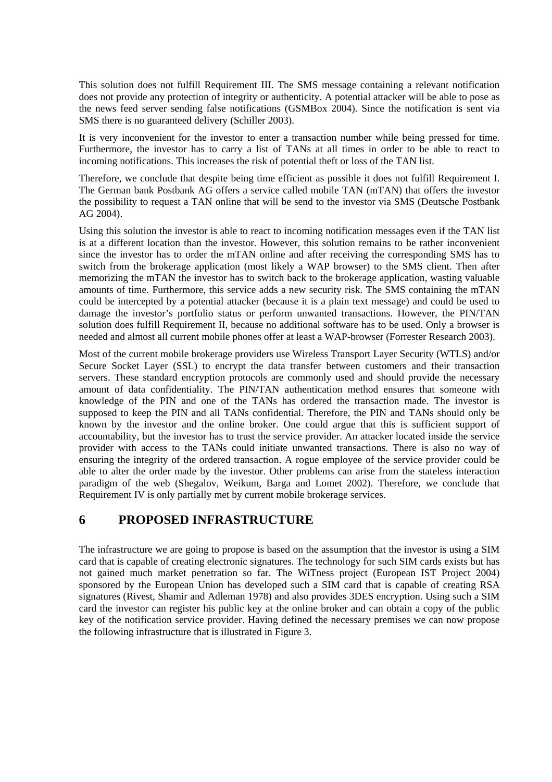This solution does not fulfill Requirement III. The SMS message containing a relevant notification does not provide any protection of integrity or authenticity. A potential attacker will be able to pose as the news feed server sending false notifications (GSMBox 2004). Since the notification is sent via SMS there is no guaranteed delivery (Schiller 2003).

It is very inconvenient for the investor to enter a transaction number while being pressed for time. Furthermore, the investor has to carry a list of TANs at all times in order to be able to react to incoming notifications. This increases the risk of potential theft or loss of the TAN list.

Therefore, we conclude that despite being time efficient as possible it does not fulfill Requirement I. The German bank Postbank AG offers a service called mobile TAN (mTAN) that offers the investor the possibility to request a TAN online that will be send to the investor via SMS (Deutsche Postbank AG 2004).

Using this solution the investor is able to react to incoming notification messages even if the TAN list is at a different location than the investor. However, this solution remains to be rather inconvenient since the investor has to order the mTAN online and after receiving the corresponding SMS has to switch from the brokerage application (most likely a WAP browser) to the SMS client. Then after memorizing the mTAN the investor has to switch back to the brokerage application, wasting valuable amounts of time. Furthermore, this service adds a new security risk. The SMS containing the mTAN could be intercepted by a potential attacker (because it is a plain text message) and could be used to damage the investor's portfolio status or perform unwanted transactions. However, the PIN/TAN solution does fulfill Requirement II, because no additional software has to be used. Only a browser is needed and almost all current mobile phones offer at least a WAP-browser (Forrester Research 2003).

Most of the current mobile brokerage providers use Wireless Transport Layer Security (WTLS) and/or Secure Socket Layer (SSL) to encrypt the data transfer between customers and their transaction servers. These standard encryption protocols are commonly used and should provide the necessary amount of data confidentiality. The PIN/TAN authentication method ensures that someone with knowledge of the PIN and one of the TANs has ordered the transaction made. The investor is supposed to keep the PIN and all TANs confidential. Therefore, the PIN and TANs should only be known by the investor and the online broker. One could argue that this is sufficient support of accountability, but the investor has to trust the service provider. An attacker located inside the service provider with access to the TANs could initiate unwanted transactions. There is also no way of ensuring the integrity of the ordered transaction. A rogue employee of the service provider could be able to alter the order made by the investor. Other problems can arise from the stateless interaction paradigm of the web (Shegalov, Weikum, Barga and Lomet 2002). Therefore, we conclude that Requirement IV is only partially met by current mobile brokerage services.

### **6 PROPOSED INFRASTRUCTURE**

The infrastructure we are going to propose is based on the assumption that the investor is using a SIM card that is capable of creating electronic signatures. The technology for such SIM cards exists but has not gained much market penetration so far. The WiTness project (European IST Project 2004) sponsored by the European Union has developed such a SIM card that is capable of creating RSA signatures (Rivest, Shamir and Adleman 1978) and also provides 3DES encryption. Using such a SIM card the investor can register his public key at the online broker and can obtain a copy of the public key of the notification service provider. Having defined the necessary premises we can now propose the following infrastructure that is illustrated in Figure 3.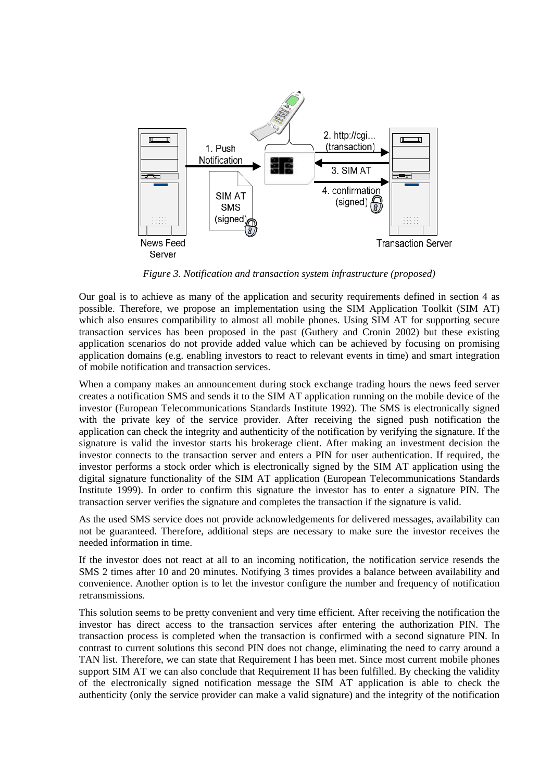

*Figure 3. Notification and transaction system infrastructure (proposed)* 

Our goal is to achieve as many of the application and security requirements defined in section 4 as possible. Therefore, we propose an implementation using the SIM Application Toolkit (SIM AT) which also ensures compatibility to almost all mobile phones. Using SIM AT for supporting secure transaction services has been proposed in the past (Guthery and Cronin 2002) but these existing application scenarios do not provide added value which can be achieved by focusing on promising application domains (e.g. enabling investors to react to relevant events in time) and smart integration of mobile notification and transaction services.

When a company makes an announcement during stock exchange trading hours the news feed server creates a notification SMS and sends it to the SIM AT application running on the mobile device of the investor (European Telecommunications Standards Institute 1992). The SMS is electronically signed with the private key of the service provider. After receiving the signed push notification the application can check the integrity and authenticity of the notification by verifying the signature. If the signature is valid the investor starts his brokerage client. After making an investment decision the investor connects to the transaction server and enters a PIN for user authentication. If required, the investor performs a stock order which is electronically signed by the SIM AT application using the digital signature functionality of the SIM AT application (European Telecommunications Standards Institute 1999). In order to confirm this signature the investor has to enter a signature PIN. The transaction server verifies the signature and completes the transaction if the signature is valid.

As the used SMS service does not provide acknowledgements for delivered messages, availability can not be guaranteed. Therefore, additional steps are necessary to make sure the investor receives the needed information in time.

If the investor does not react at all to an incoming notification, the notification service resends the SMS 2 times after 10 and 20 minutes. Notifying 3 times provides a balance between availability and convenience. Another option is to let the investor configure the number and frequency of notification retransmissions.

This solution seems to be pretty convenient and very time efficient. After receiving the notification the investor has direct access to the transaction services after entering the authorization PIN. The transaction process is completed when the transaction is confirmed with a second signature PIN. In contrast to current solutions this second PIN does not change, eliminating the need to carry around a TAN list. Therefore, we can state that Requirement I has been met. Since most current mobile phones support SIM AT we can also conclude that Requirement II has been fulfilled. By checking the validity of the electronically signed notification message the SIM AT application is able to check the authenticity (only the service provider can make a valid signature) and the integrity of the notification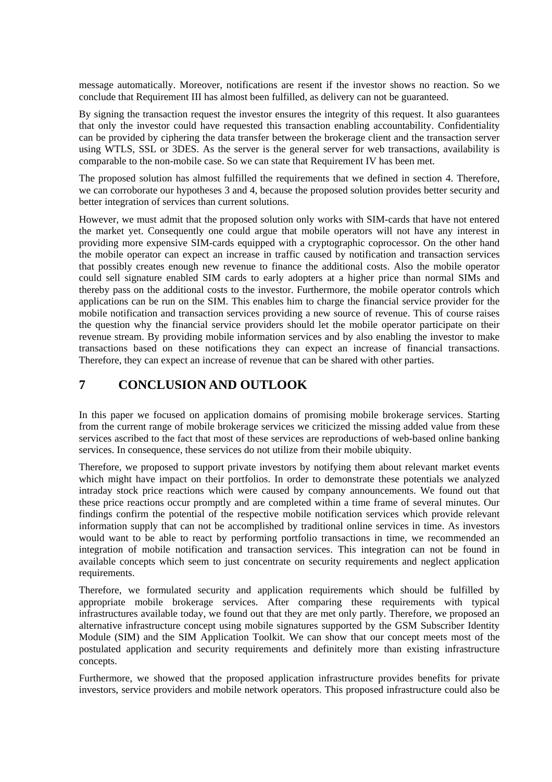message automatically. Moreover, notifications are resent if the investor shows no reaction. So we conclude that Requirement III has almost been fulfilled, as delivery can not be guaranteed.

By signing the transaction request the investor ensures the integrity of this request. It also guarantees that only the investor could have requested this transaction enabling accountability. Confidentiality can be provided by ciphering the data transfer between the brokerage client and the transaction server using WTLS, SSL or 3DES. As the server is the general server for web transactions, availability is comparable to the non-mobile case. So we can state that Requirement IV has been met.

The proposed solution has almost fulfilled the requirements that we defined in section 4. Therefore, we can corroborate our hypotheses 3 and 4, because the proposed solution provides better security and better integration of services than current solutions.

However, we must admit that the proposed solution only works with SIM-cards that have not entered the market yet. Consequently one could argue that mobile operators will not have any interest in providing more expensive SIM-cards equipped with a cryptographic coprocessor. On the other hand the mobile operator can expect an increase in traffic caused by notification and transaction services that possibly creates enough new revenue to finance the additional costs. Also the mobile operator could sell signature enabled SIM cards to early adopters at a higher price than normal SIMs and thereby pass on the additional costs to the investor. Furthermore, the mobile operator controls which applications can be run on the SIM. This enables him to charge the financial service provider for the mobile notification and transaction services providing a new source of revenue. This of course raises the question why the financial service providers should let the mobile operator participate on their revenue stream. By providing mobile information services and by also enabling the investor to make transactions based on these notifications they can expect an increase of financial transactions. Therefore, they can expect an increase of revenue that can be shared with other parties.

# **7 CONCLUSION AND OUTLOOK**

In this paper we focused on application domains of promising mobile brokerage services. Starting from the current range of mobile brokerage services we criticized the missing added value from these services ascribed to the fact that most of these services are reproductions of web-based online banking services. In consequence, these services do not utilize from their mobile ubiquity.

Therefore, we proposed to support private investors by notifying them about relevant market events which might have impact on their portfolios. In order to demonstrate these potentials we analyzed intraday stock price reactions which were caused by company announcements. We found out that these price reactions occur promptly and are completed within a time frame of several minutes. Our findings confirm the potential of the respective mobile notification services which provide relevant information supply that can not be accomplished by traditional online services in time. As investors would want to be able to react by performing portfolio transactions in time, we recommended an integration of mobile notification and transaction services. This integration can not be found in available concepts which seem to just concentrate on security requirements and neglect application requirements.

Therefore, we formulated security and application requirements which should be fulfilled by appropriate mobile brokerage services. After comparing these requirements with typical infrastructures available today, we found out that they are met only partly. Therefore, we proposed an alternative infrastructure concept using mobile signatures supported by the GSM Subscriber Identity Module (SIM) and the SIM Application Toolkit. We can show that our concept meets most of the postulated application and security requirements and definitely more than existing infrastructure concepts.

Furthermore, we showed that the proposed application infrastructure provides benefits for private investors, service providers and mobile network operators. This proposed infrastructure could also be